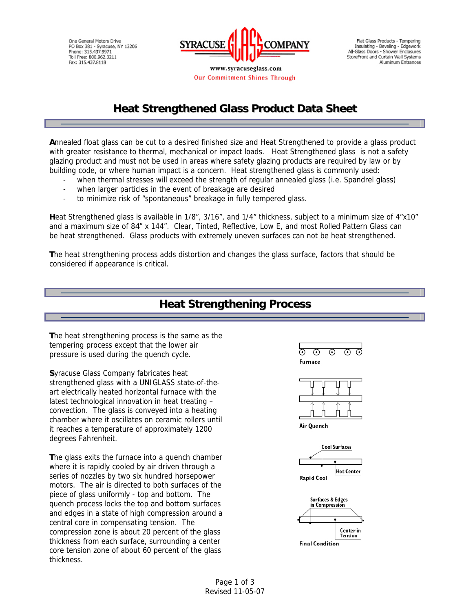One General Motors Drive PO Box 381 - Syracuse, NY 13206<br>Phone: 315.437.9971 Toll Free: 800.962.3211 Fax: 315.437.8118



Our Commitment Shines Through

Flat Glass Products - Tempering Insulating - Beveling - Edgework<br>All-Glass Doors - Shower Enclosures StoreFront and Curtain Wall Systems Aluminum Entrances

### **Heat Strengthened Glass Product Data Sheet**

**A**nnealed float glass can be cut to a desired finished size and Heat Strengthened to provide a glass product with greater resistance to thermal, mechanical or impact loads. Heat Strengthened glass is not a safety glazing product and must not be used in areas where safety glazing products are required by law or by building code, or where human impact is a concern. Heat strengthened glass is commonly used:

- when thermal stresses will exceed the strength of regular annealed glass (i.e. Spandrel glass)
- when larger particles in the event of breakage are desired
- to minimize risk of "spontaneous" breakage in fully tempered glass.

**H**eat Strengthened glass is available in 1/8", 3/16", and 1/4" thickness, subject to a minimum size of 4"x10" and a maximum size of 84" x 144". Clear, Tinted, Reflective, Low E, and most Rolled Pattern Glass can be heat strengthened. Glass products with extremely uneven surfaces can not be heat strengthened.

**T**he heat strengthening process adds distortion and changes the glass surface, factors that should be considered if appearance is critical.

#### **Heat Strengthening Process**

**T**he heat strengthening process is the same as the tempering process except that the lower air pressure is used during the quench cycle.

**S**yracuse Glass Company fabricates heat strengthened glass with a UNIGLASS state-of-theart electrically heated horizontal furnace with the latest technological innovation in heat treating – convection. The glass is conveyed into a heating chamber where it oscillates on ceramic rollers until it reaches a temperature of approximately 1200 degrees Fahrenheit.

**T**he glass exits the furnace into a quench chamber where it is rapidly cooled by air driven through a series of nozzles by two six hundred horsepower motors. The air is directed to both surfaces of the piece of glass uniformly - top and bottom. The quench process locks the top and bottom surfaces and edges in a state of high compression around a central core in compensating tension. The compression zone is about 20 percent of the glass thickness from each surface, surrounding a center core tension zone of about 60 percent of the glass thickness.

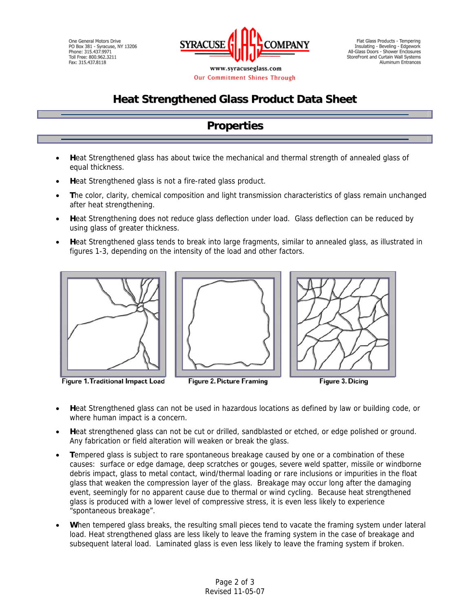One General Motors Drive PO Box 381 - Syracuse, NY 13206<br>Phone: 315.437.9971 Toll Free: 800.962.3211 Fax: 315.437.8118



Our Commitment Shines Through

Flat Glass Products - Tempering Insulating - Beveling - Edgework<br>All-Glass Doors - Shower Enclosures StoreFront and Curtain Wall Systems Aluminum Entrances

# **Heat Strengthened Glass Product Data Sheet**

## **Properties**

- **H**eat Strengthened glass has about twice the mechanical and thermal strength of annealed glass of equal thickness.
- **Heat Strengthened glass is not a fire-rated glass product.**
- **T**he color, clarity, chemical composition and light transmission characteristics of glass remain unchanged after heat strengthening.
- **H**eat Strengthening does not reduce glass deflection under load. Glass deflection can be reduced by using glass of greater thickness.
- **H**eat Strengthened glass tends to break into large fragments, similar to annealed glass, as illustrated in figures 1-3, depending on the intensity of the load and other factors.



**Figure 1. Traditional Impact Load** 





Figure 3. Dicing

- **H**eat Strengthened glass can not be used in hazardous locations as defined by law or building code, or where human impact is a concern.
- **H**eat strengthened glass can not be cut or drilled, sandblasted or etched, or edge polished or ground. Any fabrication or field alteration will weaken or break the glass.
- **T**empered glass is subject to rare spontaneous breakage caused by one or a combination of these causes: surface or edge damage, deep scratches or gouges, severe weld spatter, missile or windborne debris impact, glass to metal contact, wind/thermal loading or rare inclusions or impurities in the float glass that weaken the compression layer of the glass. Breakage may occur long after the damaging event, seemingly for no apparent cause due to thermal or wind cycling. Because heat strengthened glass is produced with a lower level of compressive stress, it is even less likely to experience "spontaneous breakage".
- When tempered glass breaks, the resulting small pieces tend to vacate the framing system under lateral load. Heat strengthened glass are less likely to leave the framing system in the case of breakage and subsequent lateral load. Laminated glass is even less likely to leave the framing system if broken.